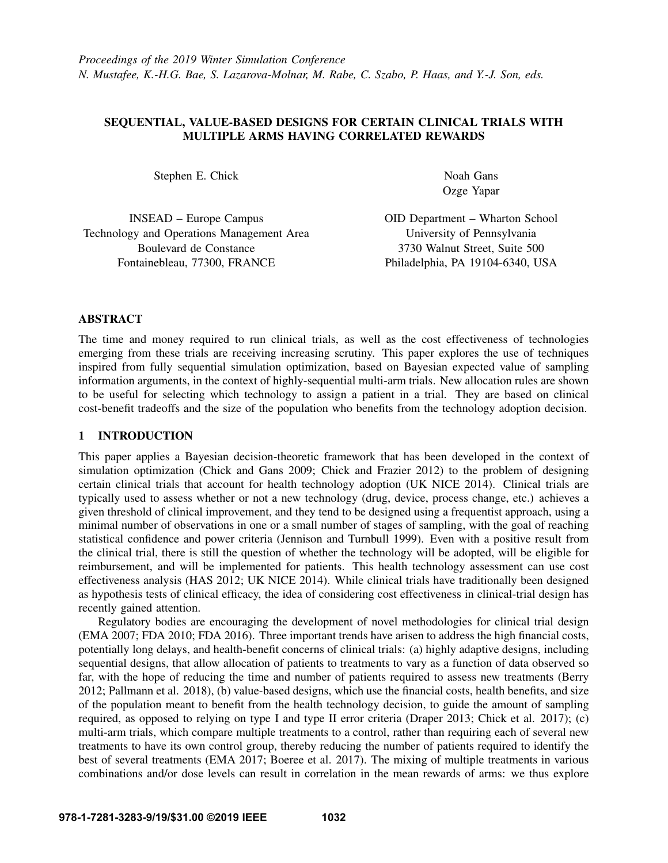# SEQUENTIAL, VALUE-BASED DESIGNS FOR CERTAIN CLINICAL TRIALS WITH MULTIPLE ARMS HAVING CORRELATED REWARDS

Stephen E. Chick

Noah Gans Ozge Yapar

INSEAD – Europe Campus Technology and Operations Management Area Boulevard de Constance Fontainebleau, 77300, FRANCE

OID Department – Wharton School University of Pennsylvania 3730 Walnut Street, Suite 500 Philadelphia, PA 19104-6340, USA

# ABSTRACT

The time and money required to run clinical trials, as well as the cost effectiveness of technologies emerging from these trials are receiving increasing scrutiny. This paper explores the use of techniques inspired from fully sequential simulation optimization, based on Bayesian expected value of sampling information arguments, in the context of highly-sequential multi-arm trials. New allocation rules are shown to be useful for selecting which technology to assign a patient in a trial. They are based on clinical cost-benefit tradeoffs and the size of the population who benefits from the technology adoption decision.

# 1 INTRODUCTION

This paper applies a Bayesian decision-theoretic framework that has been developed in the context of simulation optimization [\(Chick and Gans 2009;](#page-11-0) [Chick and Frazier 2012\)](#page-11-1) to the problem of designing certain clinical trials that account for health technology adoption [\(UK NICE 2014\)](#page-11-2). Clinical trials are typically used to assess whether or not a new technology (drug, device, process change, etc.) achieves a given threshold of clinical improvement, and they tend to be designed using a frequentist approach, using a minimal number of observations in one or a small number of stages of sampling, with the goal of reaching statistical confidence and power criteria [\(Jennison and Turnbull 1999\)](#page-11-3). Even with a positive result from the clinical trial, there is still the question of whether the technology will be adopted, will be eligible for reimbursement, and will be implemented for patients. This health technology assessment can use cost effectiveness analysis [\(HAS 2012;](#page-11-4) [UK NICE 2014\)](#page-11-2). While clinical trials have traditionally been designed as hypothesis tests of clinical efficacy, the idea of considering cost effectiveness in clinical-trial design has recently gained attention.

Regulatory bodies are encouraging the development of novel methodologies for clinical trial design [\(EMA 2007;](#page-11-5) [FDA 2010;](#page-11-6) [FDA 2016\)](#page-11-7). Three important trends have arisen to address the high financial costs, potentially long delays, and health-benefit concerns of clinical trials: (a) highly adaptive designs, including sequential designs, that allow allocation of patients to treatments to vary as a function of data observed so far, with the hope of reducing the time and number of patients required to assess new treatments [\(Berry](#page-11-8) [2012;](#page-11-8) [Pallmann et al. 2018\)](#page-11-9), (b) value-based designs, which use the financial costs, health benefits, and size of the population meant to benefit from the health technology decision, to guide the amount of sampling required, as opposed to relying on type I and type II error criteria [\(Draper 2013;](#page-11-10) [Chick et al. 2017\)](#page-11-11); (c) multi-arm trials, which compare multiple treatments to a control, rather than requiring each of several new treatments to have its own control group, thereby reducing the number of patients required to identify the best of several treatments [\(EMA 2017;](#page-11-12) [Boeree et al. 2017\)](#page-11-13). The mixing of multiple treatments in various combinations and/or dose levels can result in correlation in the mean rewards of arms: we thus explore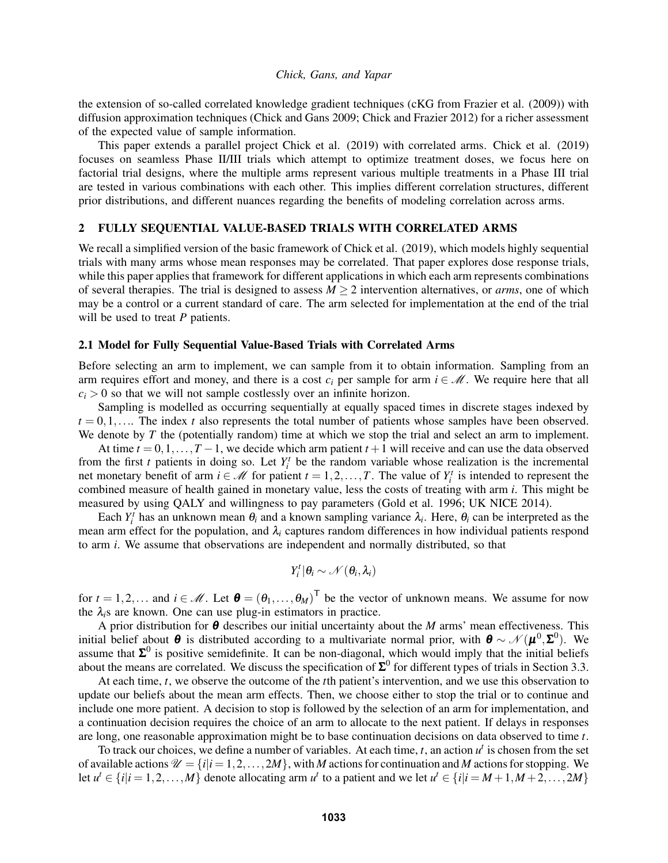the extension of so-called correlated knowledge gradient techniques (cKG from [Frazier et al. \(2009\)\)](#page-11-14) with diffusion approximation techniques [\(Chick and Gans 2009;](#page-11-0) [Chick and Frazier 2012\)](#page-11-1) for a richer assessment of the expected value of sample information.

This paper extends a parallel project [Chick et al. \(2019\)](#page-11-15) with correlated arms. [Chick et al. \(2019\)](#page-11-15) focuses on seamless Phase II/III trials which attempt to optimize treatment doses, we focus here on factorial trial designs, where the multiple arms represent various multiple treatments in a Phase III trial are tested in various combinations with each other. This implies different correlation structures, different prior distributions, and different nuances regarding the benefits of modeling correlation across arms.

# 2 FULLY SEQUENTIAL VALUE-BASED TRIALS WITH CORRELATED ARMS

We recall a simplified version of the basic framework of [Chick et al. \(2019\),](#page-11-15) which models highly sequential trials with many arms whose mean responses may be correlated. That paper explores dose response trials, while this paper applies that framework for different applications in which each arm represents combinations of several therapies. The trial is designed to assess  $M \ge 2$  intervention alternatives, or *arms*, one of which may be a control or a current standard of care. The arm selected for implementation at the end of the trial will be used to treat *P* patients.

### 2.1 Model for Fully Sequential Value-Based Trials with Correlated Arms

Before selecting an arm to implement, we can sample from it to obtain information. Sampling from an arm requires effort and money, and there is a cost  $c_i$  per sample for arm  $i \in \mathcal{M}$ . We require here that all  $c_i > 0$  so that we will not sample costlessly over an infinite horizon.

Sampling is modelled as occurring sequentially at equally spaced times in discrete stages indexed by  $t = 0, 1, \ldots$  The index *t* also represents the total number of patients whose samples have been observed. We denote by *T* the (potentially random) time at which we stop the trial and select an arm to implement.

At time  $t = 0, 1, \ldots, T-1$ , we decide which arm patient  $t + 1$  will receive and can use the data observed from the first *t* patients in doing so. Let  $Y_i^t$  be the random variable whose realization is the incremental net monetary benefit of arm  $i \in \mathcal{M}$  for patient  $t = 1, 2, ..., T$ . The value of  $Y_i^t$  is intended to represent the combined measure of health gained in monetary value, less the costs of treating with arm *i*. This might be measured by using QALY and willingness to pay parameters [\(Gold et al. 1996;](#page-11-16) [UK NICE 2014\)](#page-11-2).

Each  $Y_i^t$  has an unknown mean  $\theta_i$  and a known sampling variance  $\lambda_i$ . Here,  $\theta_i$  can be interpreted as the mean arm effect for the population, and  $\lambda_i$  captures random differences in how individual patients respond to arm *i*. We assume that observations are independent and normally distributed, so that

$$
Y_i^t | \theta_i \sim \mathcal{N}(\theta_i, \lambda_i)
$$

for  $t = 1, 2, \dots$  and  $i \in \mathcal{M}$ . Let  $\boldsymbol{\theta} = (\theta_1, \dots, \theta_M)^T$  be the vector of unknown means. We assume for now the  $\lambda_i$ s are known. One can use plug-in estimators in practice.

A prior distribution for θ describes our initial uncertainty about the *M* arms' mean effectiveness. This initial belief about  $\theta$  is distributed according to a multivariate normal prior, with  $\theta \sim \mathcal{N}(\mu^0, \Sigma^0)$ . We assume that  $\Sigma^0$  is positive semidefinite. It can be non-diagonal, which would imply that the initial beliefs about the means are correlated. We discuss the specification of  $\Sigma^0$  for different types of trials in Section [3.3.](#page-4-0)

At each time, *t*, we observe the outcome of the *t*th patient's intervention, and we use this observation to update our beliefs about the mean arm effects. Then, we choose either to stop the trial or to continue and include one more patient. A decision to stop is followed by the selection of an arm for implementation, and a continuation decision requires the choice of an arm to allocate to the next patient. If delays in responses are long, one reasonable approximation might be to base continuation decisions on data observed to time *t*.

To track our choices, we define a number of variables. At each time,  $t$ , an action  $u^t$  is chosen from the set of available actions  $\mathcal{U} = \{i | i = 1, 2, ..., 2M\}$ , with *M* actions for continuation and *M* actions for stopping. We let  $u^t \in \{i | i = 1, 2, ..., M\}$  denote allocating arm  $u^t$  to a patient and we let  $u^t \in \{i | i = M + 1, M + 2, ..., 2M\}$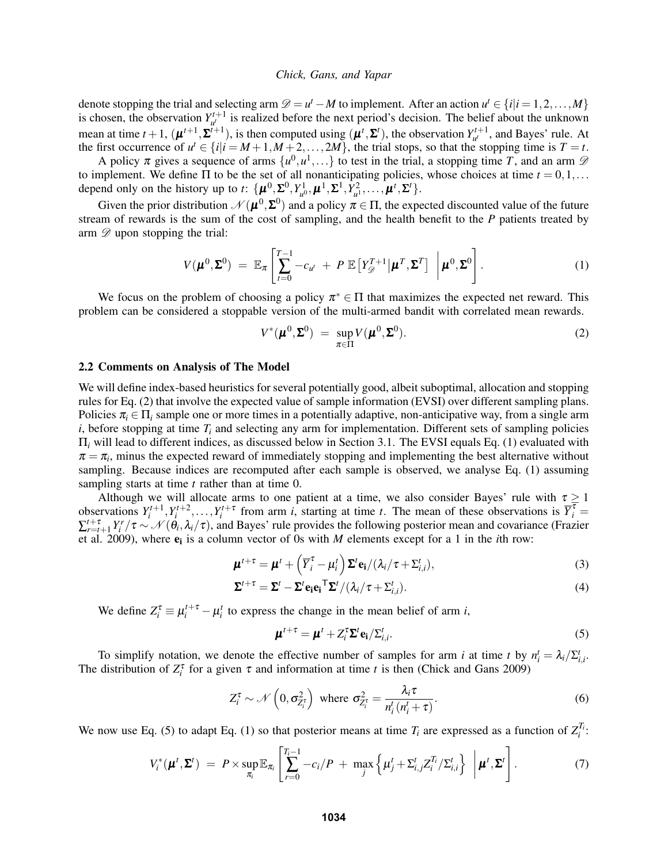denote stopping the trial and selecting arm  $\mathcal{D} = u^t - M$  to implement. After an action  $u^t \in \{i | i = 1, 2, ..., M\}$ is chosen, the observation  $Y_{u}^{t+1}$  is realized before the next period's decision. The belief about the unknown mean at time  $t + 1$ ,  $(\boldsymbol{\mu}^{t+1}, \boldsymbol{\Sigma}^{t+1})$ , is then computed using  $(\boldsymbol{\mu}^t, \boldsymbol{\Sigma}^t)$ , the observation  $Y_{u^t}^{t+1}$ , and Bayes' rule. At the first occurrence of  $u^t \in \{i | i = M+1, M+2, \ldots, 2M\}$ , the trial stops, so that the stopping time is  $T = t$ .

A policy  $\pi$  gives a sequence of arms  $\{u^0, u^1, ...\}$  to test in the trial, a stopping time T, and an arm  $\mathscr D$ to implement. We define  $\Pi$  to be the set of all nonanticipating policies, whose choices at time  $t = 0, 1, \ldots$ depend only on the history up to *t*:  $\{\boldsymbol{\mu}^0, \boldsymbol{\Sigma}^0, Y_{u^0}^1, \boldsymbol{\mu}^1, \boldsymbol{\Sigma}^1, \hat{Y}_{u^1}^2, \dots, \boldsymbol{\mu}^t, \boldsymbol{\Sigma}^t\}.$ 

Given the prior distribution  $\mathcal{N}( \mu^0, \Sigma^0)$  and a policy  $\pi \in \Pi$ , the expected discounted value of the future stream of rewards is the sum of the cost of sampling, and the health benefit to the *P* patients treated by arm  $\mathscr{D}$  upon stopping the trial:

<span id="page-2-1"></span>
$$
V(\boldsymbol{\mu}^0, \boldsymbol{\Sigma}^0) = \mathbb{E}_{\pi} \left[ \sum_{t=0}^{T-1} -c_{u^t} + P \mathbb{E} \left[ Y_{\mathscr{D}}^{T+1} \middle| \boldsymbol{\mu}^T, \boldsymbol{\Sigma}^T \right] \, \bigg| \, \boldsymbol{\mu}^0, \boldsymbol{\Sigma}^0 \right]. \tag{1}
$$

We focus on the problem of choosing a policy  $\pi^* \in \Pi$  that maximizes the expected net reward. This problem can be considered a stoppable version of the multi-armed bandit with correlated mean rewards.

<span id="page-2-0"></span>
$$
V^*(\boldsymbol{\mu}^0, \boldsymbol{\Sigma}^0) = \sup_{\pi \in \Pi} V(\boldsymbol{\mu}^0, \boldsymbol{\Sigma}^0).
$$
 (2)

### <span id="page-2-4"></span>2.2 Comments on Analysis of The Model

We will define index-based heuristics for several potentially good, albeit suboptimal, allocation and stopping rules for Eq. [\(2\)](#page-2-0) that involve the expected value of sample information (EVSI) over different sampling plans. Policies  $\pi_i \in \Pi_i$  sample one or more times in a potentially adaptive, non-anticipative way, from a single arm *i*, before stopping at time  $T_i$  and selecting any arm for implementation. Different sets of sampling policies Π*<sup>i</sup>* will lead to different indices, as discussed below in Section [3.1.](#page-3-0) The EVSI equals Eq. [\(1\)](#page-2-1) evaluated with  $\pi = \pi_i$ , minus the expected reward of immediately stopping and implementing the best alternative without sampling. Because indices are recomputed after each sample is observed, we analyse Eq. [\(1\)](#page-2-1) assuming sampling starts at time *t* rather than at time 0.

Although we will allocate arms to one patient at a time, we also consider Bayes' rule with  $\tau \ge 1$ observations  $Y_i^{t+1}, Y_i^{t+2}, \ldots, Y_i^{t+\tau}$  from arm *i*, starting at time *t*. The mean of these observations is  $\overline{Y}_i^{\overline{\tau}} =$  $\sum_{r=t+1}^{t+\tau} Y_i^r / \tau \sim \mathcal{N}(\dot{\theta}_i, \lambda_i/\tau)$ , and Bayes' rule provides the following posterior mean and covariance [\(Frazier](#page-11-14) [et al. 2009\)](#page-11-14), where  $e_i$  is a column vector of 0s with *M* elements except for a 1 in the *i*th row:

$$
\boldsymbol{\mu}^{t+\tau} = \boldsymbol{\mu}^t + \left(\overline{Y}_i^{\tau} - \mu_i^t\right) \boldsymbol{\Sigma}^t \mathbf{e_i} / (\lambda_i / \tau + \Sigma_{i,i}^t),
$$
\n(3)

$$
\Sigma^{t+\tau} = \Sigma^t - \Sigma^t \mathbf{e_i} \mathbf{e_i}^{\mathsf{T}} \Sigma^t / (\lambda_i / \tau + \Sigma_{i,i}^t).
$$
\n(4)

We define  $Z_i^{\tau} \equiv \mu_i^{t+\tau} - \mu_i^{t}$  to express the change in the mean belief of arm *i*,

<span id="page-2-3"></span><span id="page-2-2"></span>
$$
\boldsymbol{\mu}^{t+\tau} = \boldsymbol{\mu}^t + Z_i^{\tau} \boldsymbol{\Sigma}^t \mathbf{e}_i / \Sigma_{i,i}^t. \tag{5}
$$

To simplify notation, we denote the effective number of samples for arm *i* at time *t* by  $n_i^t = \lambda_i / \sum_{i,i}$ . The distribution of  $Z_i^{\tau}$  for a given  $\tau$  and information at time *t* is then [\(Chick and Gans 2009\)](#page-11-0)

$$
Z_i^{\tau} \sim \mathcal{N}\left(0, \sigma_{Z_i^{\tau}}^2\right) \text{ where } \sigma_{Z_i^{\tau}}^2 = \frac{\lambda_i \tau}{n_i^t (n_i^t + \tau)}.
$$
 (6)

We now use Eq. [\(5\)](#page-2-2) to adapt Eq. [\(1\)](#page-2-1) so that posterior means at time  $T_i$  are expressed as a function of  $Z_i^{T_i}$ :

$$
V_i^*(\boldsymbol{\mu}^t, \boldsymbol{\Sigma}^t) = P \times \sup_{\pi_i} \mathbb{E}_{\pi_i} \left[ \sum_{r=0}^{T_i-1} -c_i/P + \max_j \left\{ \mu_j^t + \Sigma_{i,j}^t Z_i^{T_i}/\Sigma_{i,i}^t \right\} \, \left| \boldsymbol{\mu}^t, \boldsymbol{\Sigma}^t \right] . \tag{7}
$$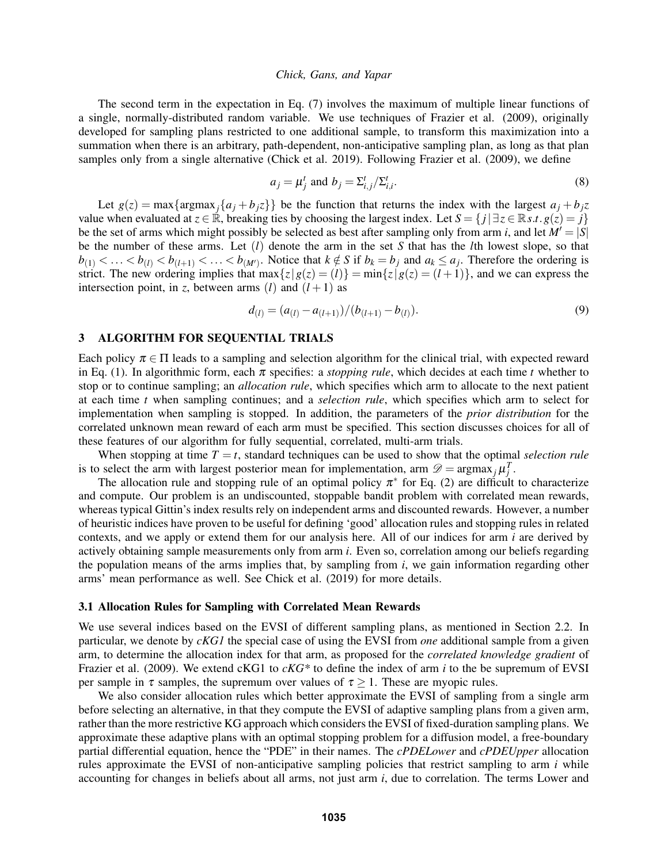The second term in the expectation in Eq. [\(7\)](#page-2-3) involves the maximum of multiple linear functions of a single, normally-distributed random variable. We use techniques of [Frazier et al. \(2009\),](#page-11-14) originally developed for sampling plans restricted to one additional sample, to transform this maximization into a summation when there is an arbitrary, path-dependent, non-anticipative sampling plan, as long as that plan samples only from a single alternative [\(Chick et al. 2019\)](#page-11-15). Following [Frazier et al. \(2009\),](#page-11-14) we define

<span id="page-3-2"></span>
$$
a_j = \mu_j^t \text{ and } b_j = \sum_{i,j}^t / \sum_{i,i}^t.
$$
 (8)

Let  $g(z) = \max{\argmax_j{a_j + b_j z}}$  be the function that returns the index with the largest  $a_j + b_j z$ value when evaluated at  $z \in \mathbb{R}$ , breaking ties by choosing the largest index. Let  $S = \{j | \exists z \in \mathbb{R} s.t. g(z) = j\}$ be the set of arms which might possibly be selected as best after sampling only from arm *i*, and let  $M' = |S|$ be the number of these arms. Let (*l*) denote the arm in the set *S* that has the *l*th lowest slope, so that  $b_{(1)} < \ldots < b_{(l)} < b_{(l+1)} < \ldots < b_{(M')}$ . Notice that  $k \notin S$  if  $b_k = b_j$  and  $a_k \le a_j$ . Therefore the ordering is strict. The new ordering implies that  $\max\{z|g(z)=(l)\} = \min\{z|g(z)=(l+1)\}\)$ , and we can express the intersection point, in *z*, between arms (*l*) and  $(l+1)$  as

<span id="page-3-3"></span>
$$
d_{(l)} = (a_{(l)} - a_{(l+1)})/(b_{(l+1)} - b_{(l)}).
$$
\n(9)

# <span id="page-3-1"></span>3 ALGORITHM FOR SEQUENTIAL TRIALS

Each policy  $\pi \in \Pi$  leads to a sampling and selection algorithm for the clinical trial, with expected reward in Eq. [\(1\)](#page-2-1). In algorithmic form, each  $\pi$  specifies: a *stopping rule*, which decides at each time *t* whether to stop or to continue sampling; an *allocation rule*, which specifies which arm to allocate to the next patient at each time *t* when sampling continues; and a *selection rule*, which specifies which arm to select for implementation when sampling is stopped. In addition, the parameters of the *prior distribution* for the correlated unknown mean reward of each arm must be specified. This section discusses choices for all of these features of our algorithm for fully sequential, correlated, multi-arm trials.

When stopping at time  $T = t$ , standard techniques can be used to show that the optimal *selection rule* is to select the arm with largest posterior mean for implementation, arm  $\mathscr{D} = \text{argmax}_j \mu_j^T$ .

The allocation rule and stopping rule of an optimal policy  $\pi^*$  for Eq. [\(2\)](#page-2-0) are difficult to characterize and compute. Our problem is an undiscounted, stoppable bandit problem with correlated mean rewards, whereas typical Gittin's index results rely on independent arms and discounted rewards. However, a number of heuristic indices have proven to be useful for defining 'good' allocation rules and stopping rules in related contexts, and we apply or extend them for our analysis here. All of our indices for arm *i* are derived by actively obtaining sample measurements only from arm *i*. Even so, correlation among our beliefs regarding the population means of the arms implies that, by sampling from *i*, we gain information regarding other arms' mean performance as well. See [Chick et al. \(2019\)](#page-11-15) for more details.

### <span id="page-3-0"></span>3.1 Allocation Rules for Sampling with Correlated Mean Rewards

We use several indices based on the EVSI of different sampling plans, as mentioned in Section [2.2.](#page-2-4) In particular, we denote by *cKG1* the special case of using the EVSI from *one* additional sample from a given arm, to determine the allocation index for that arm, as proposed for the *correlated knowledge gradient* of [Frazier et al. \(2009\).](#page-11-14) We extend cKG1 to *cKG\** to define the index of arm *i* to the be supremum of EVSI per sample in  $\tau$  samples, the supremum over values of  $\tau \geq 1$ . These are myopic rules.

We also consider allocation rules which better approximate the EVSI of sampling from a single arm before selecting an alternative, in that they compute the EVSI of adaptive sampling plans from a given arm, rather than the more restrictive KG approach which considers the EVSI of fixed-duration sampling plans. We approximate these adaptive plans with an optimal stopping problem for a diffusion model, a free-boundary partial differential equation, hence the "PDE" in their names. The *cPDELower* and *cPDEUpper* allocation rules approximate the EVSI of non-anticipative sampling policies that restrict sampling to arm *i* while accounting for changes in beliefs about all arms, not just arm *i*, due to correlation. The terms Lower and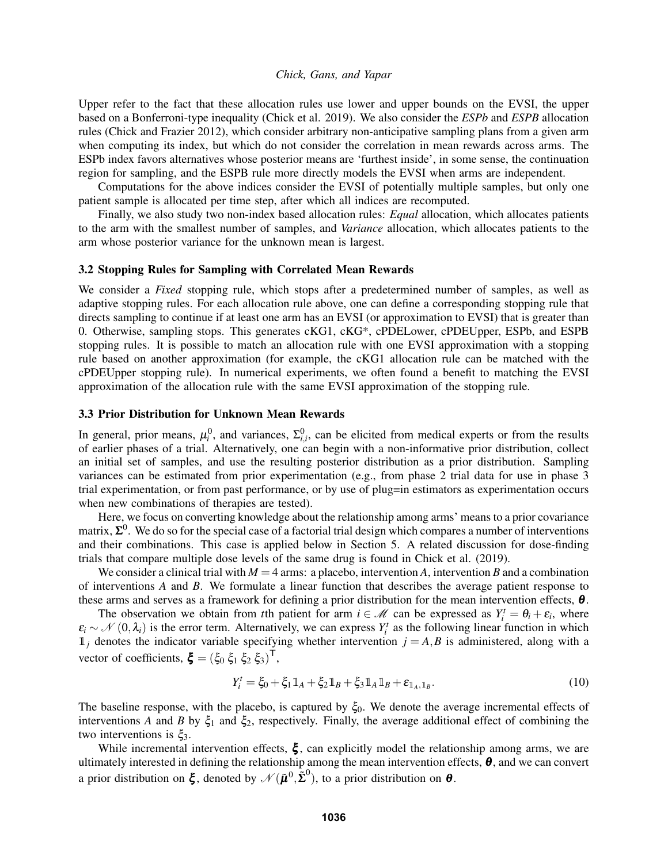Upper refer to the fact that these allocation rules use lower and upper bounds on the EVSI, the upper based on a Bonferroni-type inequality [\(Chick et al. 2019\)](#page-11-15). We also consider the *ESPb* and *ESPB* allocation rules [\(Chick and Frazier 2012\)](#page-11-1), which consider arbitrary non-anticipative sampling plans from a given arm when computing its index, but which do not consider the correlation in mean rewards across arms. The ESPb index favors alternatives whose posterior means are 'furthest inside', in some sense, the continuation region for sampling, and the ESPB rule more directly models the EVSI when arms are independent.

Computations for the above indices consider the EVSI of potentially multiple samples, but only one patient sample is allocated per time step, after which all indices are recomputed.

Finally, we also study two non-index based allocation rules: *Equal* allocation, which allocates patients to the arm with the smallest number of samples, and *Variance* allocation, which allocates patients to the arm whose posterior variance for the unknown mean is largest.

# 3.2 Stopping Rules for Sampling with Correlated Mean Rewards

We consider a *Fixed* stopping rule, which stops after a predetermined number of samples, as well as adaptive stopping rules. For each allocation rule above, one can define a corresponding stopping rule that directs sampling to continue if at least one arm has an EVSI (or approximation to EVSI) that is greater than 0. Otherwise, sampling stops. This generates cKG1, cKG\*, cPDELower, cPDEUpper, ESPb, and ESPB stopping rules. It is possible to match an allocation rule with one EVSI approximation with a stopping rule based on another approximation (for example, the cKG1 allocation rule can be matched with the cPDEUpper stopping rule). In numerical experiments, we often found a benefit to matching the EVSI approximation of the allocation rule with the same EVSI approximation of the stopping rule.

## <span id="page-4-0"></span>3.3 Prior Distribution for Unknown Mean Rewards

In general, prior means,  $\mu_i^0$ , and variances,  $\Sigma_{i,i}^0$ , can be elicited from medical experts or from the results of earlier phases of a trial. Alternatively, one can begin with a non-informative prior distribution, collect an initial set of samples, and use the resulting posterior distribution as a prior distribution. Sampling variances can be estimated from prior experimentation (e.g., from phase 2 trial data for use in phase 3 trial experimentation, or from past performance, or by use of plug=in estimators as experimentation occurs when new combinations of therapies are tested).

Here, we focus on converting knowledge about the relationship among arms' means to a prior covariance matrix,  $\Sigma^0$ . We do so for the special case of a factorial trial design which compares a number of interventions and their combinations. This case is applied below in Section [5.](#page-6-0) A related discussion for dose-finding trials that compare multiple dose levels of the same drug is found in [Chick et al. \(2019\).](#page-11-15)

We consider a clinical trial with  $M = 4$  arms: a placebo, intervention *A*, intervention *B* and a combination of interventions *A* and *B*. We formulate a linear function that describes the average patient response to these arms and serves as a framework for defining a prior distribution for the mean intervention effects,  $\theta$ .

The observation we obtain from *t*th patient for arm  $i \in \mathcal{M}$  can be expressed as  $Y_i^t = \theta_i + \varepsilon_i$ , where  $\varepsilon_i \sim \mathcal{N}(0, \lambda_i)$  is the error term. Alternatively, we can express  $Y_i^t$  as the following linear function in which  $1_j$  denotes the indicator variable specifying whether intervention  $j = A, B$  is administered, along with a vector of coefficients,  $\boldsymbol{\xi} = (\xi_0 \xi_1 \xi_2 \xi_3)^{\mathsf{T}}$ ,

$$
Y_i^t = \xi_0 + \xi_1 \mathbb{1}_A + \xi_2 \mathbb{1}_B + \xi_3 \mathbb{1}_A \mathbb{1}_B + \varepsilon_{\mathbb{1}_A, \mathbb{1}_B}.
$$
 (10)

The baseline response, with the placebo, is captured by  $\xi_0$ . We denote the average incremental effects of interventions *A* and *B* by  $\xi_1$  and  $\xi_2$ , respectively. Finally, the average additional effect of combining the two interventions is  $\xi_3$ .

While incremental intervention effects,  $\xi$ , can explicitly model the relationship among arms, we are ultimately interested in defining the relationship among the mean intervention effects,  $\theta$ , and we can convert a prior distribution on  $\bm{\xi}$ , denoted by  $\mathscr{N}(\bm{\tilde{\mu}}^0, \bm{\tilde{\Sigma}}^0)$ , to a prior distribution on  $\bm{\theta}$ .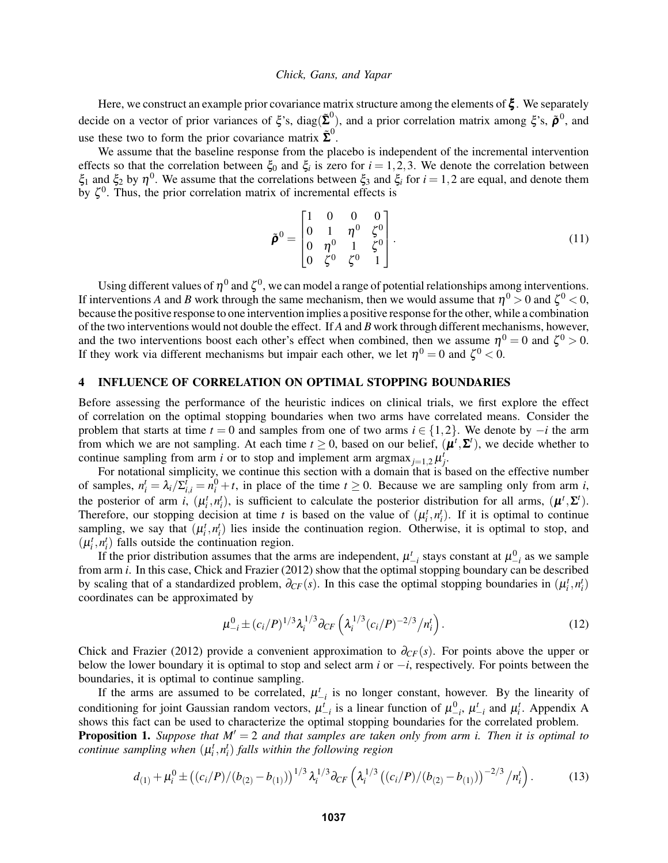Here, we construct an example prior covariance matrix structure among the elements of  $\xi$ . We separately decide on a vector of prior variances of  $\xi$ 's, diag( $\tilde{\Sigma}^0$ ), and a prior correlation matrix among  $\xi$ 's,  $\tilde{\rho}^0$ , and use these two to form the prior covariance matrix  $\tilde{\Sigma}^0$ .

We assume that the baseline response from the placebo is independent of the incremental intervention effects so that the correlation between  $\xi_0$  and  $\xi_i$  is zero for  $i = 1, 2, 3$ . We denote the correlation between  $\xi_1$  and  $\xi_2$  by  $\eta^0$ . We assume that the correlations between  $\xi_3$  and  $\xi_i$  for  $i = 1,2$  are equal, and denote them by  $\zeta^0$ . Thus, the prior correlation matrix of incremental effects is

$$
\tilde{\boldsymbol{\rho}}^{0} = \begin{bmatrix} 1 & 0 & 0 & 0 \\ 0 & 1 & \eta^{0} & \zeta^{0} \\ 0 & \eta^{0} & 1 & \zeta^{0} \\ 0 & \zeta^{0} & \zeta^{0} & 1 \end{bmatrix} .
$$
 (11)

Using different values of  $\eta^0$  and  $\zeta^0$ , we can model a range of potential relationships among interventions. If interventions *A* and *B* work through the same mechanism, then we would assume that  $\eta^0 > 0$  and  $\zeta^0 < 0$ , because the positive response to one intervention implies a positive response for the other, while a combination of the two interventions would not double the effect. If *A* and *B* work through different mechanisms, however, and the two interventions boost each other's effect when combined, then we assume  $\eta^0 = 0$  and  $\zeta^0 > 0$ . If they work via different mechanisms but impair each other, we let  $\eta^0 = 0$  and  $\zeta^0 < 0$ .

# <span id="page-5-3"></span>4 INFLUENCE OF CORRELATION ON OPTIMAL STOPPING BOUNDARIES

Before assessing the performance of the heuristic indices on clinical trials, we first explore the effect of correlation on the optimal stopping boundaries when two arms have correlated means. Consider the problem that starts at time  $t = 0$  and samples from one of two arms  $i \in \{1,2\}$ . We denote by  $-i$  the arm from which we are not sampling. At each time  $t \ge 0$ , based on our belief,  $(\mu^t, \Sigma^t)$ , we decide whether to continue sampling from arm *i* or to stop and implement arm argmax<sub>*j*=1,2</sub> $\mu_j^t$ .

For notational simplicity, we continue this section with a domain that is based on the effective number of samples,  $n_i^t = \lambda_i/\sum_{i,i}^t = n_i^0 + t$ , in place of the time  $t \ge 0$ . Because we are sampling only from arm *i*, the posterior of arm *i*,  $(\mu_i^t, n_i^t)$ , is sufficient to calculate the posterior distribution for all arms,  $(\mu^t, \Sigma^t)$ . Therefore, our stopping decision at time *t* is based on the value of  $(\mu_i^t, n_i^t)$ . If it is optimal to continue sampling, we say that  $(\mu_i^t, n_i^t)$  lies inside the continuation region. Otherwise, it is optimal to stop, and  $(\mu_i^t, n_i^t)$  falls outside the continuation region.

If the prior distribution assumes that the arms are independent,  $\mu^t_{-i}$  stays constant at  $\mu^0_{-i}$  as we sample from arm *i*. In this case, [Chick and Frazier \(2012\)](#page-11-1) show that the optimal stopping boundary can be described by scaling that of a standardized problem,  $\partial_{CF}(s)$ . In this case the optimal stopping boundaries in  $(\mu_i^t, n_i^t)$ coordinates can be approximated by

<span id="page-5-1"></span><span id="page-5-0"></span>
$$
\mu_{-i}^0 \pm (c_i/P)^{1/3} \lambda_i^{1/3} \partial_{CF} \left( \lambda_i^{1/3} (c_i/P)^{-2/3} / n_i^t \right).
$$
 (12)

[Chick and Frazier \(2012\)](#page-11-1) provide a convenient approximation to  $\partial_{CF}(s)$ . For points above the upper or below the lower boundary it is optimal to stop and select arm *i* or −*i*, respectively. For points between the boundaries, it is optimal to continue sampling.

If the arms are assumed to be correlated,  $\mu^t_{-i}$  is no longer constant, however. By the linearity of conditioning for joint Gaussian random vectors,  $\mu^t_{-i}$  is a linear function of  $\mu^0_{-i}$ ,  $\mu^t_{-i}$  and  $\mu^t_i$ . [A](#page-10-0)ppendix A shows this fact can be used to characterize the optimal stopping boundaries for the correlated problem.

<span id="page-5-2"></span>**Proposition 1.** *Suppose that*  $M' = 2$  *and that samples are taken only from arm i. Then it is optimal to continue sampling when*  $(\mu_i^t, n_i^t)$  *falls within the following region* 

$$
d_{(1)} + \mu_i^0 \pm \left( \frac{c_i}{P} \right) \left( \frac{b_{(2)} - b_{(1)}}{P} \right)^{1/3} \lambda_i^{1/3} \partial_{CF} \left( \lambda_i^{1/3} \left( \frac{c_i}{P} \right) \left( \frac{b_{(2)} - b_{(1)}}{P} \right)^{-2/3} / n_i^t \right). \tag{13}
$$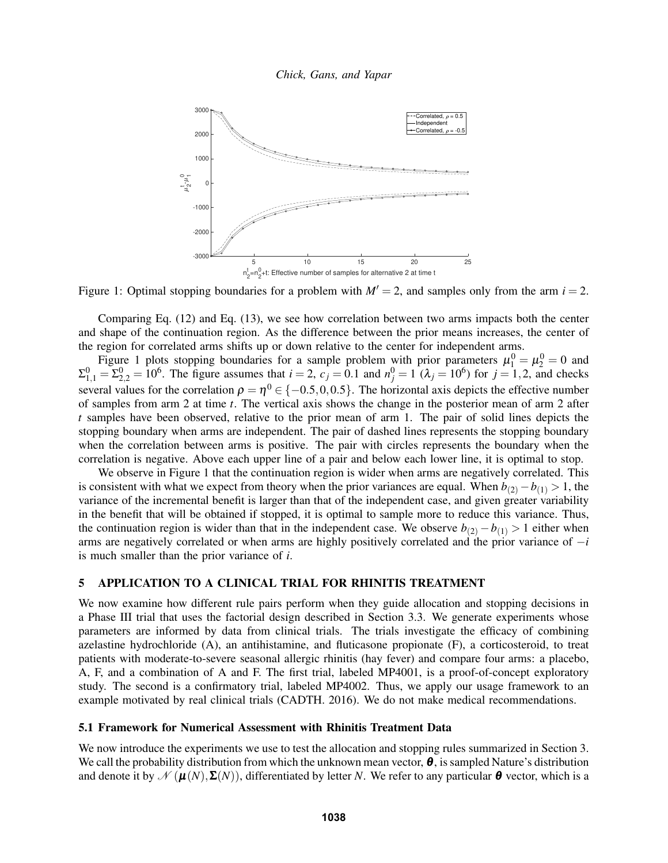*Chick, Gans, and Yapar*



<span id="page-6-1"></span>Figure 1: Optimal stopping boundaries for a problem with  $M' = 2$ , and samples only from the arm  $i = 2$ .

Comparing Eq. [\(12\)](#page-5-0) and Eq. [\(13\)](#page-5-1), we see how correlation between two arms impacts both the center and shape of the continuation region. As the difference between the prior means increases, the center of the region for correlated arms shifts up or down relative to the center for independent arms.

Figure [1](#page-6-1) plots stopping boundaries for a sample problem with prior parameters  $\mu_1^0 = \mu_2^0 = 0$  and  $\Sigma_{1,1}^0 = \Sigma_{2,2}^0 = 10^6$ . The figure assumes that  $i = 2$ ,  $c_j = 0.1$  and  $n_j^0 = 1$  ( $\lambda_j = 10^6$ ) for  $j = 1,2$ , and checks several values for the correlation  $\rho = \eta^0 \in \{-0.5, 0, 0.5\}$ . The horizontal axis depicts the effective number of samples from arm 2 at time *t*. The vertical axis shows the change in the posterior mean of arm 2 after *t* samples have been observed, relative to the prior mean of arm 1. The pair of solid lines depicts the stopping boundary when arms are independent. The pair of dashed lines represents the stopping boundary when the correlation between arms is positive. The pair with circles represents the boundary when the correlation is negative. Above each upper line of a pair and below each lower line, it is optimal to stop.

We observe in Figure [1](#page-6-1) that the continuation region is wider when arms are negatively correlated. This is consistent with what we expect from theory when the prior variances are equal. When  $b_{(2)} - b_{(1)} > 1$ , the variance of the incremental benefit is larger than that of the independent case, and given greater variability in the benefit that will be obtained if stopped, it is optimal to sample more to reduce this variance. Thus, the continuation region is wider than that in the independent case. We observe  $b_{(2)} - b_{(1)} > 1$  either when arms are negatively correlated or when arms are highly positively correlated and the prior variance of −*i* is much smaller than the prior variance of *i*.

# <span id="page-6-0"></span>5 APPLICATION TO A CLINICAL TRIAL FOR RHINITIS TREATMENT

We now examine how different rule pairs perform when they guide allocation and stopping decisions in a Phase III trial that uses the factorial design described in Section [3.3.](#page-4-0) We generate experiments whose parameters are informed by data from clinical trials. The trials investigate the efficacy of combining azelastine hydrochloride (A), an antihistamine, and fluticasone propionate (F), a corticosteroid, to treat patients with moderate-to-severe seasonal allergic rhinitis (hay fever) and compare four arms: a placebo, A, F, and a combination of A and F. The first trial, labeled MP4001, is a proof-of-concept exploratory study. The second is a confirmatory trial, labeled MP4002. Thus, we apply our usage framework to an example motivated by real clinical trials [\(CADTH. 2016\)](#page-11-17). We do not make medical recommendations.

### 5.1 Framework for Numerical Assessment with Rhinitis Treatment Data

We now introduce the experiments we use to test the allocation and stopping rules summarized in Section [3.](#page-3-1) We call the probability distribution from which the unknown mean vector,  $\theta$ , is sampled Nature's distribution and denote it by  $\mathcal{N}(\mu(N), \Sigma(N))$ , differentiated by letter *N*. We refer to any particular  $\theta$  vector, which is a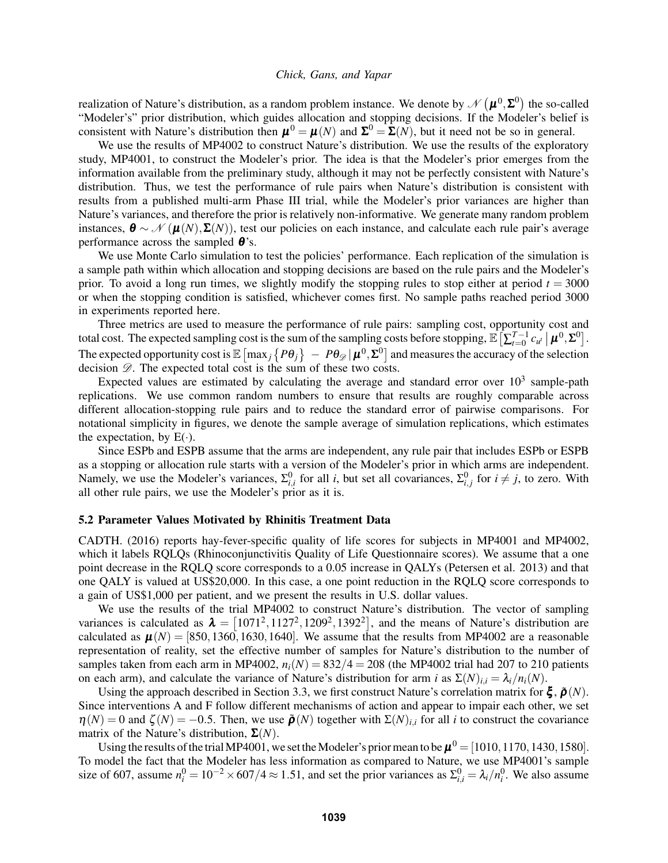realization of Nature's distribution, as a random problem instance. We denote by  $\mathscr{N}\left(\pmb{\mu}^0,\pmb{\Sigma}^0\right)$  the so-called "Modeler's" prior distribution, which guides allocation and stopping decisions. If the Modeler's belief is consistent with Nature's distribution then  $\mu^0 = \mu(N)$  and  $\Sigma^0 = \Sigma(N)$ , but it need not be so in general.

We use the results of MP4002 to construct Nature's distribution. We use the results of the exploratory study, MP4001, to construct the Modeler's prior. The idea is that the Modeler's prior emerges from the information available from the preliminary study, although it may not be perfectly consistent with Nature's distribution. Thus, we test the performance of rule pairs when Nature's distribution is consistent with results from a published multi-arm Phase III trial, while the Modeler's prior variances are higher than Nature's variances, and therefore the prior is relatively non-informative. We generate many random problem instances,  $\boldsymbol{\theta} \sim \mathcal{N}(\boldsymbol{\mu}(N), \boldsymbol{\Sigma}(N))$ , test our policies on each instance, and calculate each rule pair's average performance across the sampled  $\theta$ 's.

We use Monte Carlo simulation to test the policies' performance. Each replication of the simulation is a sample path within which allocation and stopping decisions are based on the rule pairs and the Modeler's prior. To avoid a long run times, we slightly modify the stopping rules to stop either at period  $t = 3000$ or when the stopping condition is satisfied, whichever comes first. No sample paths reached period 3000 in experiments reported here.

Three metrics are used to measure the performance of rule pairs: sampling cost, opportunity cost and total cost. The expected sampling cost is the sum of the sampling costs before stopping,  $\mathbb{E}\left[\sum_{t=0}^{T-1} c_{u^t} \,|\, \boldsymbol{\mu}^0, \boldsymbol{\Sigma}^0\right]$ . The expected opportunity cost is  $\mathbb{E}\left[\max_j\left\{P\theta_j\right\}\right. -P\theta_{\mathscr{D}}|\bm{\mu}^0,\bm{\Sigma}^0\right]$  and measures the accuracy of the selection decision  $\mathscr{D}$ . The expected total cost is the sum of these two costs.

Expected values are estimated by calculating the average and standard error over  $10^3$  sample-path replications. We use common random numbers to ensure that results are roughly comparable across different allocation-stopping rule pairs and to reduce the standard error of pairwise comparisons. For notational simplicity in figures, we denote the sample average of simulation replications, which estimates the expectation, by  $E(\cdot)$ .

Since ESPb and ESPB assume that the arms are independent, any rule pair that includes ESPb or ESPB as a stopping or allocation rule starts with a version of the Modeler's prior in which arms are independent. Namely, we use the Modeler's variances,  $\Sigma_{i,i}^0$  for all *i*, but set all covariances,  $\Sigma_{i,j}^0$  for  $i \neq j$ , to zero. With all other rule pairs, we use the Modeler's prior as it is.

## 5.2 Parameter Values Motivated by Rhinitis Treatment Data

[CADTH. \(2016\)](#page-11-17) reports hay-fever-specific quality of life scores for subjects in MP4001 and MP4002, which it labels RQLQs (Rhinoconjunctivitis Quality of Life Questionnaire scores). We assume that a one point decrease in the RQLQ score corresponds to a 0.05 increase in QALYs [\(Petersen et al. 2013\)](#page-11-18) and that one QALY is valued at US\$20,000. In this case, a one point reduction in the RQLQ score corresponds to a gain of US\$1,000 per patient, and we present the results in U.S. dollar values.

We use the results of the trial MP4002 to construct Nature's distribution. The vector of sampling variances is calculated as  $\lambda = [1071^2, 1127^2, 1209^2, 1392^2]$ , and the means of Nature's distribution are calculated as  $\mu(N) = [850, 1360, 1630, 1640]$ . We assume that the results from MP4002 are a reasonable representation of reality, set the effective number of samples for Nature's distribution to the number of samples taken from each arm in MP4002,  $n_i(N) = 832/4 = 208$  (the MP4002 trial had 207 to 210 patients on each arm), and calculate the variance of Nature's distribution for arm *i* as  $\Sigma(N)_{i,i} = \lambda_i/n_i(N)$ .

Using the approach described in Section [3.3,](#page-4-0) we first construct Nature's correlation matrix for  $\xi$ ,  $\tilde{p}(N)$ . Since interventions A and F follow different mechanisms of action and appear to impair each other, we set  $\eta(N) = 0$  and  $\zeta(N) = -0.5$ . Then, we use  $\tilde{\rho}(N)$  together with  $\Sigma(N)_{i,i}$  for all *i* to construct the covariance matrix of the Nature's distribution, Σ(*N*).

Using the results of the trial MP4001, we set the Modeler's prior mean to be  $\pmb{\mu}^0 = [1010,1170,1430,1580]$ . To model the fact that the Modeler has less information as compared to Nature, we use MP4001's sample size of 607, assume  $n_i^0 = 10^{-2} \times 607/4 \approx 1.51$ , and set the prior variances as  $\Sigma_{i,i}^0 = \lambda_i/n_i^0$ . We also assume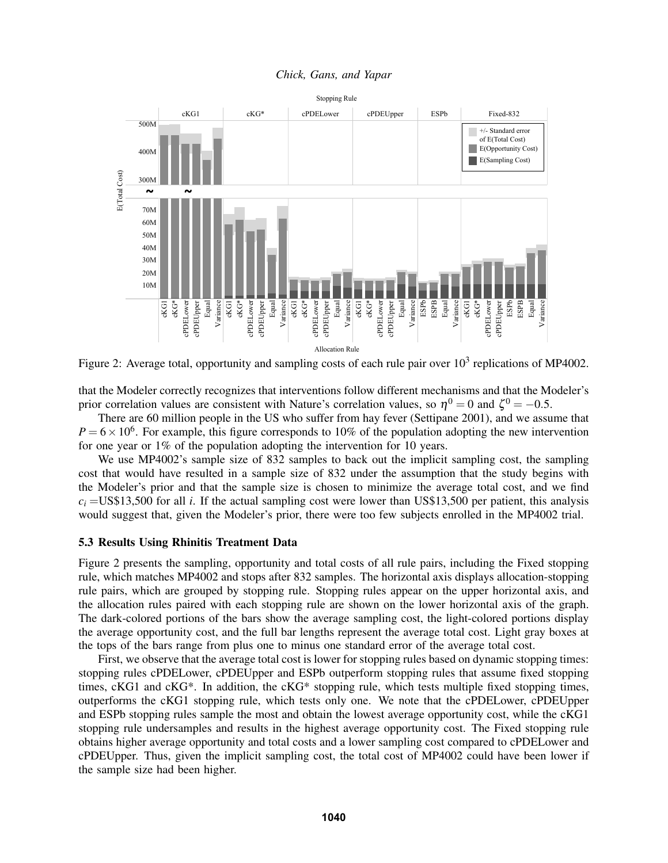

<span id="page-8-0"></span>Figure 2: Average total, opportunity and sampling costs of each rule pair over  $10^3$  replications of MP4002.

that the Modeler correctly recognizes that interventions follow different mechanisms and that the Modeler's prior correlation values are consistent with Nature's correlation values, so  $\eta^0 = 0$  and  $\zeta^0 = -0.5$ .

There are 60 million people in the US who suffer from hay fever [\(Settipane 2001\)](#page-11-19), and we assume that  $P = 6 \times 10^6$ . For example, this figure corresponds to 10% of the population adopting the new intervention for one year or 1% of the population adopting the intervention for 10 years.

We use MP4002's sample size of 832 samples to back out the implicit sampling cost, the sampling cost that would have resulted in a sample size of 832 under the assumption that the study begins with the Modeler's prior and that the sample size is chosen to minimize the average total cost, and we find  $c_i$  =US\$13,500 for all *i*. If the actual sampling cost were lower than US\$13,500 per patient, this analysis would suggest that, given the Modeler's prior, there were too few subjects enrolled in the MP4002 trial.

## 5.3 Results Using Rhinitis Treatment Data

Figure [2](#page-8-0) presents the sampling, opportunity and total costs of all rule pairs, including the Fixed stopping rule, which matches MP4002 and stops after 832 samples. The horizontal axis displays allocation-stopping rule pairs, which are grouped by stopping rule. Stopping rules appear on the upper horizontal axis, and the allocation rules paired with each stopping rule are shown on the lower horizontal axis of the graph. The dark-colored portions of the bars show the average sampling cost, the light-colored portions display the average opportunity cost, and the full bar lengths represent the average total cost. Light gray boxes at the tops of the bars range from plus one to minus one standard error of the average total cost.

First, we observe that the average total cost is lower for stopping rules based on dynamic stopping times: stopping rules cPDELower, cPDEUpper and ESPb outperform stopping rules that assume fixed stopping times, cKG1 and cKG\*. In addition, the cKG\* stopping rule, which tests multiple fixed stopping times, outperforms the cKG1 stopping rule, which tests only one. We note that the cPDELower, cPDEUpper and ESPb stopping rules sample the most and obtain the lowest average opportunity cost, while the cKG1 stopping rule undersamples and results in the highest average opportunity cost. The Fixed stopping rule obtains higher average opportunity and total costs and a lower sampling cost compared to cPDELower and cPDEUpper. Thus, given the implicit sampling cost, the total cost of MP4002 could have been lower if the sample size had been higher.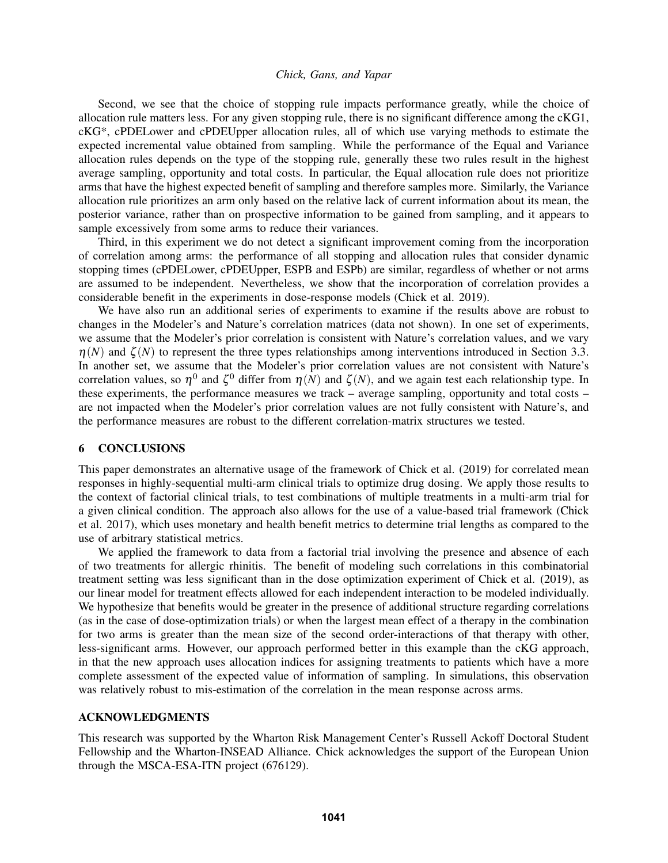Second, we see that the choice of stopping rule impacts performance greatly, while the choice of allocation rule matters less. For any given stopping rule, there is no significant difference among the cKG1, cKG\*, cPDELower and cPDEUpper allocation rules, all of which use varying methods to estimate the expected incremental value obtained from sampling. While the performance of the Equal and Variance allocation rules depends on the type of the stopping rule, generally these two rules result in the highest average sampling, opportunity and total costs. In particular, the Equal allocation rule does not prioritize arms that have the highest expected benefit of sampling and therefore samples more. Similarly, the Variance allocation rule prioritizes an arm only based on the relative lack of current information about its mean, the posterior variance, rather than on prospective information to be gained from sampling, and it appears to sample excessively from some arms to reduce their variances.

Third, in this experiment we do not detect a significant improvement coming from the incorporation of correlation among arms: the performance of all stopping and allocation rules that consider dynamic stopping times (cPDELower, cPDEUpper, ESPB and ESPb) are similar, regardless of whether or not arms are assumed to be independent. Nevertheless, we show that the incorporation of correlation provides a considerable benefit in the experiments in dose-response models [\(Chick et al. 2019\)](#page-11-15).

We have also run an additional series of experiments to examine if the results above are robust to changes in the Modeler's and Nature's correlation matrices (data not shown). In one set of experiments, we assume that the Modeler's prior correlation is consistent with Nature's correlation values, and we vary  $\eta(N)$  and  $\zeta(N)$  to represent the three types relationships among interventions introduced in Section [3.3.](#page-4-0) In another set, we assume that the Modeler's prior correlation values are not consistent with Nature's correlation values, so  $\eta^0$  and  $\zeta^0$  differ from  $\eta(N)$  and  $\zeta(N)$ , and we again test each relationship type. In these experiments, the performance measures we track – average sampling, opportunity and total costs – are not impacted when the Modeler's prior correlation values are not fully consistent with Nature's, and the performance measures are robust to the different correlation-matrix structures we tested.

# 6 CONCLUSIONS

This paper demonstrates an alternative usage of the framework of [Chick et al. \(2019\)](#page-11-15) for correlated mean responses in highly-sequential multi-arm clinical trials to optimize drug dosing. We apply those results to the context of factorial clinical trials, to test combinations of multiple treatments in a multi-arm trial for a given clinical condition. The approach also allows for the use of a value-based trial framework [\(Chick](#page-11-11) [et al. 2017\)](#page-11-11), which uses monetary and health benefit metrics to determine trial lengths as compared to the use of arbitrary statistical metrics.

We applied the framework to data from a factorial trial involving the presence and absence of each of two treatments for allergic rhinitis. The benefit of modeling such correlations in this combinatorial treatment setting was less significant than in the dose optimization experiment of [Chick et al. \(2019\),](#page-11-15) as our linear model for treatment effects allowed for each independent interaction to be modeled individually. We hypothesize that benefits would be greater in the presence of additional structure regarding correlations (as in the case of dose-optimization trials) or when the largest mean effect of a therapy in the combination for two arms is greater than the mean size of the second order-interactions of that therapy with other, less-significant arms. However, our approach performed better in this example than the cKG approach, in that the new approach uses allocation indices for assigning treatments to patients which have a more complete assessment of the expected value of information of sampling. In simulations, this observation was relatively robust to mis-estimation of the correlation in the mean response across arms.

## ACKNOWLEDGMENTS

This research was supported by the Wharton Risk Management Center's Russell Ackoff Doctoral Student Fellowship and the Wharton-INSEAD Alliance. Chick acknowledges the support of the European Union through the MSCA-ESA-ITN project (676129).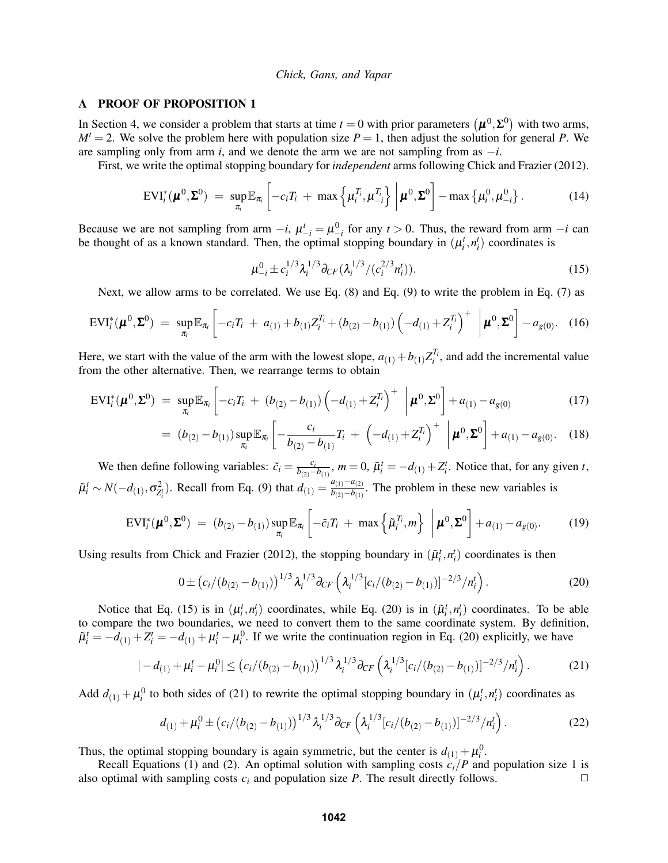## <span id="page-10-0"></span>A PROOF OF PROPOSITION [1](#page-5-2)

In Section [4,](#page-5-3) we consider a problem that starts at time  $t=0$  with prior parameters  $(\mu^0, \Sigma^0)$  with two arms,  $M' = 2$ . We solve the problem here with population size  $P = 1$ , then adjust the solution for general P. We are sampling only from arm *i*, and we denote the arm we are not sampling from as  $-i$ .

First, we write the optimal stopping boundary for *independent* arms following [Chick and Frazier \(2012\).](#page-11-1)

$$
EVI_i^*(\boldsymbol{\mu}^0,\boldsymbol{\Sigma}^0) = \sup_{\pi_i} \mathbb{E}_{\pi_i} \left[ -c_i T_i + \max \left\{ \mu_i^{T_i}, \mu_{-i}^{T_i} \right\} \bigg| \boldsymbol{\mu}^0, \boldsymbol{\Sigma}^0 \right] - \max \left\{ \mu_i^0, \mu_{-i}^0 \right\}.
$$
 (14)

Because we are not sampling from arm  $-i$ ,  $\mu^t_{-i} = \mu^0_{-i}$  for any  $t > 0$ . Thus, the reward from arm  $-i$  can be thought of as a known standard. Then, the optimal stopping boundary in  $(\mu_i^t, n_i^t)$  coordinates is

<span id="page-10-1"></span>
$$
\mu_{-i}^0 \pm c_i^{1/3} \lambda_i^{1/3} \partial_{CF} (\lambda_i^{1/3} / (c_i^{2/3} n_i^t)).
$$
\n(15)

Next, we allow arms to be correlated. We use Eq. [\(8\)](#page-3-2) and Eq. [\(9\)](#page-3-3) to write the problem in Eq. [\(7\)](#page-2-3) as

$$
EVI_i^*(\boldsymbol{\mu}^0, \boldsymbol{\Sigma}^0) = \sup_{\pi_i} \mathbb{E}_{\pi_i} \left[ -c_i T_i + a_{(1)} + b_{(1)} Z_i^{T_i} + (b_{(2)} - b_{(1)}) \left( -d_{(1)} + Z_i^{T_i} \right)^+ \ \middle| \ \boldsymbol{\mu}^0, \boldsymbol{\Sigma}^0 \right] - a_{g(0)}. \quad (16)
$$

Here, we start with the value of the arm with the lowest slope,  $a_{(1)} + b_{(1)}Z_i^{T_i}$ , and add the incremental value from the other alternative. Then, we rearrange terms to obtain

$$
EVI_i^*(\boldsymbol{\mu}^0, \boldsymbol{\Sigma}^0) = \sup_{\pi_i} \mathbb{E}_{\pi_i} \left[ -c_i T_i + (b_{(2)} - b_{(1)}) \left( -d_{(1)} + Z_i^{T_i} \right)^+ \; \left| \; \boldsymbol{\mu}^0, \boldsymbol{\Sigma}^0 \right] + a_{(1)} - a_{g(0)} \tag{17}
$$

$$
= (b_{(2)} - b_{(1)}) \sup_{\pi_i} \mathbb{E}_{\pi_i} \left[ -\frac{c_i}{b_{(2)} - b_{(1)}} T_i + \left( -d_{(1)} + Z_i^{T_i} \right)^+ \middle| \boldsymbol{\mu}^0, \boldsymbol{\Sigma}^0 \right] + a_{(1)} - a_{g(0)}. \quad (18)
$$

We then define following variables:  $\tilde{c}_i = \frac{c_i}{b_i c_i - 1}$  $\frac{c_i}{b_{(2)} - b_{(1)}}$ ,  $m = 0$ ,  $\tilde{\mu}_i^t = -d_{(1)} + Z_i^t$ . Notice that, for any given *t*,  $\tilde{\mu}_i^t \sim N(-d_{(1)}, \sigma_{Z_i^t}^2)$ . Recall from Eq. [\(9\)](#page-3-3) that  $d_{(1)} = \frac{a_{(1)} - a_{(2)}}{b_{(2)} - b_{(1)}}$  $\frac{a_{(1)}-a_{(2)}}{b_{(2)}-b_{(1)}}$ . The problem in these new variables is

$$
EVI_i^*(\boldsymbol{\mu}^0, \boldsymbol{\Sigma}^0) = (b_{(2)} - b_{(1)}) \sup_{\pi_i} \mathbb{E}_{\pi_i} \left[ -\tilde{c}_i T_i + \max \left\{ \tilde{\mu}_i^{T_i}, m \right\} \, \left| \, \boldsymbol{\mu}^0, \boldsymbol{\Sigma}^0 \right] + a_{(1)} - a_{g(0)}.
$$
 (19)

Using results from [Chick and Frazier \(2012\),](#page-11-1) the stopping boundary in  $(\tilde{\mu}_i^t, n_i^t)$  coordinates is then

<span id="page-10-3"></span><span id="page-10-2"></span>
$$
0 \pm (c_i/(b_{(2)} - b_{(1)}))^{1/3} \lambda_i^{1/3} \partial_{CF} \left( \lambda_i^{1/3} [c_i/(b_{(2)} - b_{(1)})]^{-2/3} / n_i^t \right).
$$
 (20)

Notice that Eq. [\(15\)](#page-10-1) is in  $(\mu_i^t, n_i^t)$  coordinates, while Eq. [\(20\)](#page-10-2) is in  $(\tilde{\mu}_i^t, n_i^t)$  coordinates. To be able to compare the two boundaries, we need to convert them to the same coordinate system. By definition,  $\tilde{\mu}_i^t = -d_{(1)} + Z_i^t = -d_{(1)} + \mu_i^t - \mu_i^0$ . If we write the continuation region in Eq. [\(20\)](#page-10-2) explicitly, we have

$$
|-d_{(1)} + \mu_i^t - \mu_i^0| \le (c_i/(b_{(2)} - b_{(1)}))^{1/3} \lambda_i^{1/3} \partial_{CF} \left(\lambda_i^{1/3} [c_i/(b_{(2)} - b_{(1)})]^{-2/3} / n_i^t\right).
$$
 (21)

Add  $d_{(1)} + \mu_i^0$  to both sides of [\(21\)](#page-10-3) to rewrite the optimal stopping boundary in  $(\mu_i^t, n_i^t)$  coordinates as

$$
d_{(1)} + \mu_i^0 \pm (c_i/(b_{(2)} - b_{(1)}))^{1/3} \lambda_i^{1/3} \partial_{CF} \left( \lambda_i^{1/3} [c_i/(b_{(2)} - b_{(1)})]^{-2/3} / n_i^t \right).
$$
 (22)

Thus, the optimal stopping boundary is again symmetric, but the center is  $d_{(1)} + \mu_i^0$ .

Recall Equations [\(1\)](#page-2-1) and [\(2\)](#page-2-0). An optimal solution with sampling costs  $c_i/P$  and population size 1 is also optimal with sampling costs  $c_i$  and population size P. The result directly follows.